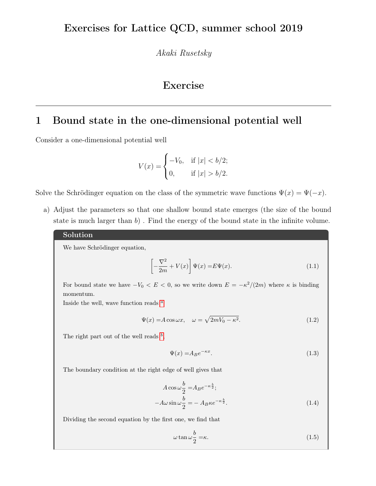Akaki Rusetsky

# Exercise

## 1 Bound state in the one-dimensional potential well

Consider a one-dimensional potential well

$$
V(x) = \begin{cases} -V_0, & \text{if } |x| < b/2; \\ 0, & \text{if } |x| > b/2. \end{cases}
$$

Solve the Schrödinger equation on the class of the symmetric wave functions  $\Psi(x) = \Psi(-x)$ .

a) Adjust the parameters so that one shallow bound state emerges (the size of the bound state is much larger than  $b$ ). Find the energy of the bound state in the infinite volume.

#### Solution

We have Schrödinger equation,

$$
\left[-\frac{\nabla^2}{2m} + V(x)\right]\Psi(x) = E\Psi(x).
$$
\n(1.1)

For bound state we have  $-V_0 < E < 0$ , so we write down  $E = -\kappa^2/(2m)$  where  $\kappa$  is binding momentum.

Inside the well, w[a](#page-1-0)ve function reads  $a$ 

$$
\Psi(x) = A\cos\omega x, \quad \omega = \sqrt{2mV_0 - \kappa^2}.
$$
\n(1.2)

The right part out of the well reads  $^b$  $^b$ ,

$$
\Psi(x) = A_B e^{-\kappa x}.\tag{1.3}
$$

The boundary condition at the right edge of well gives that

$$
A\cos\omega\frac{b}{2} = A_B e^{-\kappa\frac{b}{2}};
$$
  

$$
-A\omega\sin\omega\frac{b}{2} = -A_B\kappa e^{-\kappa\frac{b}{2}}.
$$
 (1.4)

Dividing the second equation by the first one, we find that

$$
\omega \tan \omega \frac{b}{2} = \kappa. \tag{1.5}
$$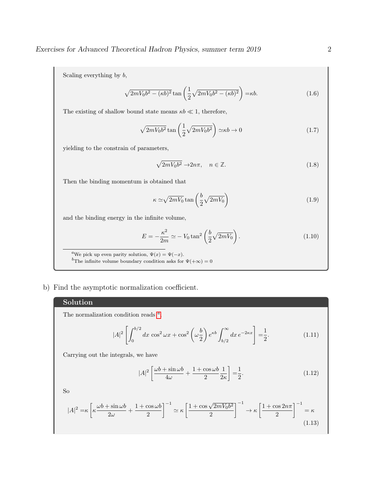Scaling everything by b,

$$
\sqrt{2mV_0b^2 - (\kappa b)^2} \tan\left(\frac{1}{2}\sqrt{2mV_0b^2 - (\kappa b)^2}\right) = \kappa b. \tag{1.6}
$$

The existing of shallow bound state means  $\kappa b \ll 1$ , therefore,

$$
\sqrt{2mV_0b^2} \tan\left(\frac{1}{2}\sqrt{2mV_0b^2}\right) \simeq \kappa b \to 0
$$
\n(1.7)

yielding to the constrain of parameters,

$$
\sqrt{2mV_0b^2} \to 2n\pi, \quad n \in \mathbb{Z}.\tag{1.8}
$$

Then the binding momentum is obtained that

$$
\kappa \simeq \sqrt{2mV_0} \tan\left(\frac{b}{2}\sqrt{2mV_0}\right) \tag{1.9}
$$

and the binding energy in the infinite volume,

$$
E = -\frac{\kappa^2}{2m} \simeq -V_0 \tan^2\left(\frac{b}{2}\sqrt{2mV_0}\right). \tag{1.10}
$$

<span id="page-1-1"></span><span id="page-1-0"></span><sup>a</sup>We pick up even parity solution,  $\Psi(x) = \Psi(-x)$ . <sup>b</sup>The infinite volume boundary condition asks for  $\Psi(+\infty) = 0$ 

b) Find the asymptotic normalization coefficient.

## Solution

The norm[a](#page-2-0)lization condition reads  $a$ ,

$$
|A|^2 \left[ \int_0^{b/2} dx \cos^2 \omega x + \cos^2 \left( \omega \frac{b}{2} \right) e^{\kappa b} \int_{b/2}^{\infty} dx e^{-2\kappa x} \right] = \frac{1}{2}.
$$
 (1.11)

Carrying out the integrals, we have

$$
|A|^2 \left[ \frac{\omega b + \sin \omega b}{4\omega} + \frac{1 + \cos \omega b}{2} \frac{1}{2\kappa} \right] = \frac{1}{2}.
$$
 (1.12)

So

$$
|A|^2 = \kappa \left[ \kappa \frac{\omega b + \sin \omega b}{2\omega} + \frac{1 + \cos \omega b}{2} \right]^{-1} \simeq \kappa \left[ \frac{1 + \cos \sqrt{2mV_0 b^2}}{2} \right]^{-1} \to \kappa \left[ \frac{1 + \cos 2n\pi}{2} \right]^{-1} = \kappa
$$
\n(1.13)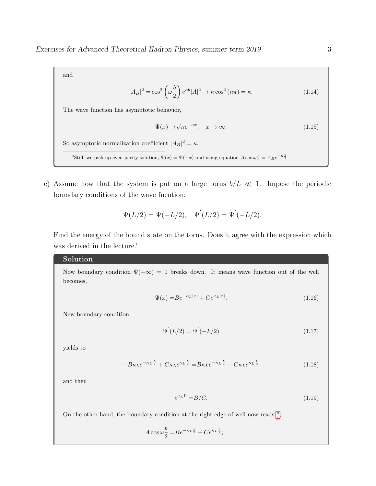and

$$
|A_B|^2 = \cos^2\left(\omega \frac{b}{2}\right) e^{\kappa b} |A|^2 \to \kappa \cos^2\left(n\pi\right) = \kappa. \tag{1.14}
$$

The wave function has asymptotic behavior,

$$
\Psi(x) \to \sqrt{\kappa} e^{-\kappa x}, \quad x \to \infty.
$$
\n(1.15)

So asymptotic normalization coefficient  $|A_B|^2 = \kappa$ .

<span id="page-2-0"></span><sup>a</sup>Still, we pick up even parity solution,  $\Psi(x) = \Psi(-x)$  and using equation  $A \cos \omega \frac{b}{2} = A_B e^{-\kappa \frac{b}{2}}$ .

c) Assume now that the system is put on a large torus  $b/L \ll 1$ . Impose the periodic boundary conditions of the wave fucntion:

$$
\Psi(L/2) = \Psi(-L/2), \quad \Psi'(L/2) = \Psi'(-L/2).
$$

Find the energy of the bound state on the torus. Does it agree with the expression which was derived in the lecture?

#### Solution

Now boundary condition  $\Psi(+\infty) = 0$  breaks down. It means wave function out of the well becomes,

$$
\Psi(x) = Be^{-\kappa_L|x|} + Ce^{\kappa_L|x|}.\tag{1.16}
$$

New boundary condition

$$
\Psi^{'}(L/2) = \Psi^{'}(-L/2)
$$
\n(1.17)

yields to

$$
-B\kappa_{L}e^{-\kappa_{L}\frac{L}{2}} + C\kappa_{L}e^{\kappa_{L}\frac{L}{2}} = B\kappa_{L}e^{-\kappa_{L}\frac{L}{2}} - C\kappa_{L}e^{\kappa_{L}\frac{L}{2}} \tag{1.18}
$$

and then

$$
e^{\kappa_L L} = B/C.\tag{1.19}
$$

On the other h[a](#page-3-0)nd, the boundary condition at the right edge of well now reads  $a$ ,

$$
A\cos\omega\frac{b}{2} = Be^{-\kappa_L\frac{b}{2}} + Ce^{\kappa_L\frac{b}{2}};
$$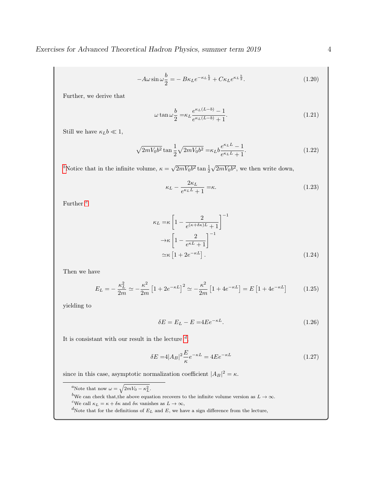$$
-A\omega\sin\omega\frac{b}{2} = -B\kappa_L e^{-\kappa_L\frac{b}{2}} + C\kappa_L e^{\kappa_L\frac{b}{2}}.
$$
\n(1.20)

Further, we derive that

$$
\omega \tan \omega \frac{b}{2} = \kappa_L \frac{e^{\kappa_L (L - b)} - 1}{e^{\kappa_L (L - b)} + 1}.
$$
\n(1.21)

Still we have  $\kappa_L b \ll 1$ ,

$$
\sqrt{2mV_0b^2} \tan \frac{1}{2} \sqrt{2mV_0b^2} = \kappa_L b \frac{e^{\kappa_L L} - 1}{e^{\kappa_L L} + 1}.
$$
\n(1.22)

<sup>[b](#page-3-1)</sup>Notice that in the infinite volume,  $\kappa = \sqrt{\frac{h}{\kappa}}$  $\sqrt{2mV_0b^2}$  tan  $\frac{1}{2}$ √  $\sqrt{2mV_0b^2}$ , we then write down,

$$
\kappa_L - \frac{2\kappa_L}{e^{\kappa_L L} + 1} = \kappa. \tag{1.23}
$$

Further  $c$ 

$$
\kappa_L = \kappa \left[ 1 - \frac{2}{e^{(\kappa + \delta \kappa)L} + 1} \right]^{-1}
$$
  
\n
$$
\rightarrow \kappa \left[ 1 - \frac{2}{e^{\kappa L} + 1} \right]^{-1}
$$
  
\n
$$
\simeq \kappa \left[ 1 + 2e^{-\kappa L} \right].
$$
\n(1.24)

Then we have

$$
E_L = -\frac{\kappa_L^2}{2m} \simeq -\frac{\kappa^2}{2m} \left[ 1 + 2e^{-\kappa L} \right]^2 \simeq -\frac{\kappa^2}{2m} \left[ 1 + 4e^{-\kappa L} \right] = E \left[ 1 + 4e^{-\kappa L} \right] \tag{1.25}
$$

yielding to

$$
\delta E = E_L - E = 4E e^{-\kappa L}.\tag{1.26}
$$

It is consistant with our result in the lecture  $d$ ,

$$
\delta E = 4|A_B|^2 \frac{E}{\kappa} e^{-\kappa L} = 4E e^{-\kappa L}
$$
\n(1.27)

since in this case, asymptotic normalization coefficient  $|A_B|^2 = \kappa$ .

<span id="page-3-0"></span><sup>a</sup>Note that now  $\omega = \sqrt{2mV_0 - \kappa_L^2}$ .

<span id="page-3-1"></span>bWe can check that, the above equation recovers to the infinite volume version as  $L \to \infty$ .

<span id="page-3-2"></span><sup>c</sup>We call  $\kappa_L = \kappa + \delta \kappa$  and  $\delta \kappa$  vanishes as  $L \to \infty$ ,

<span id="page-3-3"></span> ${}^d\!{\rm Note}$  that for the definitions of  $E_L$  and  $E,$  we have a sign difference from the lecture,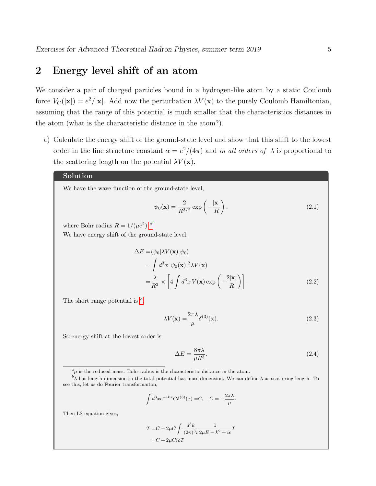## 2 Energy level shift of an atom

We consider a pair of charged particles bound in a hydrogen-like atom by a static Coulomb force  $V_C(|\mathbf{x}|) = e^2/|\mathbf{x}|$ . Add now the perturbation  $\lambda V(\mathbf{x})$  to the purely Coulomb Hamiltonian, assuming that the range of this potential is much smaller that the characteristics distances in the atom (what is the characteristic distance in the atom?).

a) Calculate the energy shift of the ground-state level and show that this shift to the lowest order in the fine structure constant  $\alpha = e^2/(4\pi)$  and in all orders of  $\lambda$  is proportional to the scattering length on the potential  $\lambda V(\mathbf{x})$ .

### Solution

We have the wave function of the ground-state level,

$$
\psi_0(\mathbf{x}) = \frac{2}{R^{3/2}} \exp\left(-\frac{|\mathbf{x}|}{R}\right),\tag{2.1}
$$

where Bohr r[a](#page-4-0)dius  $R = 1/(\mu e^2)^a$ .

We have energy shift of the ground-state level,

$$
\Delta E = \langle \psi_0 | \lambda V(\mathbf{x}) | \psi_0 \rangle
$$
  
=  $\int d^3 x |\psi_0(\mathbf{x})|^2 \lambda V(\mathbf{x})$   
=  $\frac{\lambda}{R^3} \times \left[ 4 \int d^3 x V(\mathbf{x}) \exp\left(-\frac{2|\mathbf{x}|}{R}\right) \right].$  (2.2)

The short range potential is  $\frac{b}{b}$  $\frac{b}{b}$  $\frac{b}{b}$ ,

$$
\lambda V(\mathbf{x}) = \frac{2\pi\lambda}{\mu} \delta^{(3)}(\mathbf{x}).
$$
\n(2.3)

So energy shift at the lowest order is

$$
\Delta E = \frac{8\pi\lambda}{\mu R^3}.\tag{2.4}
$$

.

$$
\int d^3x e^{-ikx} C \delta^{(3)}(x) = C, \quad C = -\frac{2\pi\lambda}{\mu}
$$

Then LS equation gives,

$$
\begin{split} T = & C + 2\mu C \int \frac{d^3k}{(2\pi)^3 i} \frac{1}{2\mu E - k^2 + i\epsilon} T \\ = & C + 2\mu Ci\rho T \end{split}
$$

<span id="page-4-1"></span><span id="page-4-0"></span> ${}^a\mu$  is the reduced mass. Bohr radius is the characteristic distance in the atom.

 $b\over \lambda$  has length dimension so the total potential has mass dimension. We can define  $\lambda$  as scattering length. To see this, let us do Fourier transformaiton,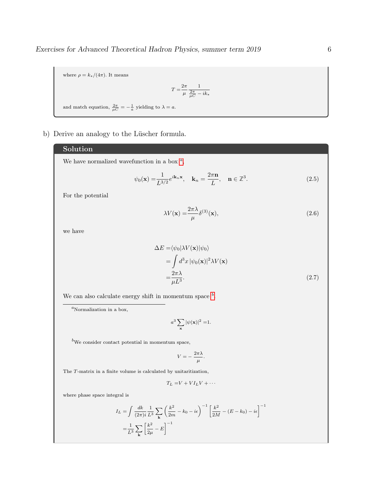where  $\rho = k_*/(4\pi)$ . It means  $T = \frac{2\pi}{\pi}$  $\mu$ 1  $rac{2\pi}{\mu C} - i k_*$ and match equation,  $\frac{2\pi}{\mu C} = -\frac{1}{a}$  yielding to  $\lambda = a$ .

b) Derive an analogy to the Lüscher formula.

## Solution

We h[a](#page-5-0)ve normalized wavefunction in a box  $a$ ,

$$
\psi_0(\mathbf{x}) = \frac{1}{L^{3/2}} e^{i\mathbf{k}_n \mathbf{x}}, \quad \mathbf{k}_n = \frac{2\pi \mathbf{n}}{L}, \quad \mathbf{n} \in \mathbb{Z}^3.
$$
 (2.5)

For the potential

$$
\lambda V(\mathbf{x}) = \frac{2\pi\lambda}{\mu} \delta^{(3)}(\mathbf{x}),\tag{2.6}
$$

we have

$$
\Delta E = \langle \psi_0 | \lambda V(\mathbf{x}) | \psi_0 \rangle
$$
  
= 
$$
\int d^3x |\psi_0(\mathbf{x})|^2 \lambda V(\mathbf{x})
$$
  
= 
$$
\frac{2\pi\lambda}{\mu L^3}.
$$
 (2.7)

We can also calculate energy shift in momentum space  $<sup>b</sup>$  $<sup>b</sup>$  $<sup>b</sup>$ .</sup>

<span id="page-5-0"></span> ${}^a$ Normalization in a box,

$$
a^3 \sum_{\mathbf{x}} |\psi(\mathbf{x})|^2 = 1.
$$

<span id="page-5-1"></span> $\prescript{b}{\textrm{We consider contact potential in momentum space}},$ 

$$
V = -\frac{2\pi\lambda}{\mu}.
$$

The T-matrix in a finite volume is calculated by unitaritization,

$$
T_L = V + VI_LV + \cdots
$$

where phase space integral is

$$
I_L = \int \frac{dk}{(2\pi)i} \frac{1}{L^3} \sum_{\mathbf{k}} \left(\frac{k^2}{2m} - k_0 - i\epsilon\right)^{-1} \left[\frac{k^2}{2M} - (E - k_0) - i\epsilon\right]^{-1}
$$

$$
= \frac{1}{L^3} \sum_{\mathbf{k}} \left[\frac{k^2}{2\mu} - E\right]^{-1}
$$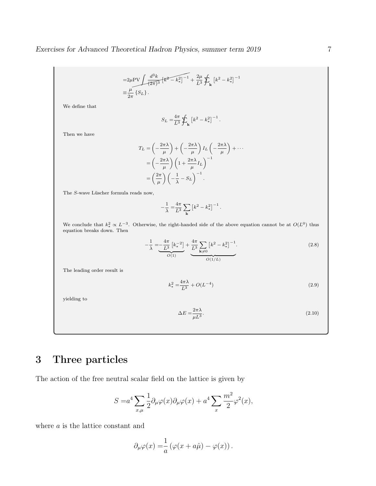$$
=2\mu \text{PV} \int \frac{d^3k}{(2\pi)^3} \left[k^2 - k_*^2\right]^{-1} + \frac{2\mu}{L^3} \oint_{\mathbf{k}} \left[k^2 - k_*^2\right]^{-1}
$$

$$
\equiv \frac{\mu}{2\pi} \left\{ S_L \right\}.
$$

We define that

$$
S_L = \frac{4\pi}{L^3} \sum_{\mathbf{k}} \left[ k^2 - k_*^2 \right]^{-1}.
$$

Then we have

$$
T_L = \left(-\frac{2\pi\lambda}{\mu}\right) + \left(-\frac{2\pi\lambda}{\mu}\right)I_L\left(-\frac{2\pi\lambda}{\mu}\right) + \cdots
$$
  
= 
$$
\left(-\frac{2\pi\lambda}{\mu}\right)\left(1 + \frac{2\pi\lambda}{\mu}I_L\right)^{-1}
$$
  
= 
$$
\left(\frac{2\pi}{\mu}\right)\left(-\frac{1}{\lambda} - S_L\right)^{-1}.
$$

The S-wave Lüscher formula reads now,

$$
-\frac{1}{\lambda} = \frac{4\pi}{L^3} \sum_{\mathbf{k}} \left[ k^2 - k_*^2 \right]^{-1}.
$$

We conclude that  $k_*^2 \propto L^{-3}$ . Otherwise, the right-handed side of the above equation cannot be at  $O(L^0)$  thus equation breaks down. Then

$$
-\frac{1}{\lambda} = \underbrace{-\frac{4\pi}{L^3} \left[k_*^{-2}\right]}_{O(1)} + \underbrace{\frac{4\pi}{L^3} \sum_{\mathbf{k}\neq 0} \left[k^2 - k_*^2\right]^{-1}}_{O(1/L)}.
$$
\n(2.8)

The leading order result is

$$
k_*^2 = \frac{4\pi\lambda}{L^3} + O(L^{-4})
$$
\n(2.9)

yielding to

$$
\Delta E = \frac{2\pi\lambda}{\mu L^3}.\tag{2.10}
$$

# 3 Three particles

The action of the free neutral scalar field on the lattice is given by

$$
S = a^4 \sum_{x,\mu} \frac{1}{2} \partial_{\mu} \varphi(x) \partial_{\mu} \varphi(x) + a^4 \sum_{x} \frac{m^2}{2} \varphi^2(x),
$$

where a is the lattice constant and

$$
\partial_{\mu}\varphi(x) = \frac{1}{a} \left( \varphi(x + a\hat{\mu}) - \varphi(x) \right).
$$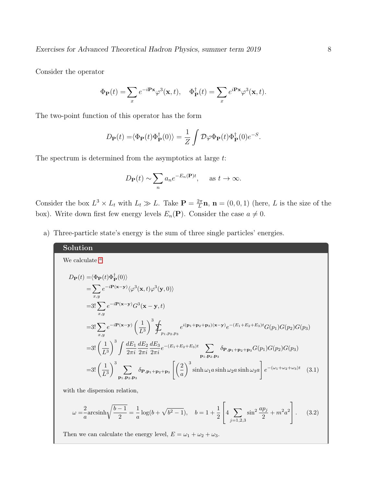Exercises for Advanced Theoretical Hadron Physics, summer term 2019 8

Consider the operator

$$
\Phi_{\mathbf{P}}(t) = \sum_{x} e^{-i\mathbf{P}\mathbf{x}} \varphi^3(\mathbf{x}, t), \quad \Phi_{\mathbf{P}}^{\dagger}(t) = \sum_{x} e^{i\mathbf{P}\mathbf{x}} \varphi^3(\mathbf{x}, t).
$$

The two-point function of this operator has the form

$$
D_{\mathbf{P}}(t) = \langle \Phi_{\mathbf{P}}(t)\Phi_{\mathbf{P}}^{\dagger}(0)\rangle = \frac{1}{Z} \int \mathcal{D}\varphi \Phi_{\mathbf{P}}(t)\Phi_{\mathbf{P}}^{\dagger}(0)e^{-S}.
$$

The spectrum is determined from the asymptotics at large t:

$$
D_{\mathbf{P}}(t) \sim \sum_{n} a_n e^{-E_n(\mathbf{P})t}
$$
, as  $t \to \infty$ .

Consider the box  $L^3 \times L_t$  with  $L_t \gg L$ . Take  $\mathbf{P} = \frac{2\pi}{L}$  $\frac{2\pi}{L}\mathbf{n}, \mathbf{n} = (0,0,1)$  (here, L is the size of the box). Write down first few energy levels  $E_n(\mathbf{P})$ . Consider the case  $a \neq 0$ .

a) Three-particle state's energy is the sum of three single particles' energies.

Solution  
\nWe calculate <sup>a</sup>  
\n
$$
D_{\mathbf{P}}(t) = \langle \Phi_{\mathbf{P}}(t) \Phi_{\mathbf{P}}^{\dagger}(0) \rangle
$$
\n
$$
= \sum_{x,y} e^{-i\mathbf{P}(\mathbf{x}-\mathbf{y})} \langle \varphi^{3}(\mathbf{x},t) \varphi^{3}(\mathbf{y},0) \rangle
$$
\n
$$
= 3! \sum_{x,y} e^{-i\mathbf{P}(\mathbf{x}-\mathbf{y})} G^{3}(\mathbf{x}-\mathbf{y},t)
$$
\n
$$
= 3! \sum_{x,y} e^{-i\mathbf{P}(\mathbf{x}-\mathbf{y})} \left(\frac{1}{L^{3}}\right)^{3} \sum_{p_{1},p_{2},p_{3}} e^{i(\mathbf{p}_{1}+\mathbf{p}_{2}+\mathbf{p}_{3})(\mathbf{x}-\mathbf{y})} e^{-(E_{1}+E_{2}+E_{3})t} G(p_{1}) G(p_{2}) G(p_{3})
$$
\n
$$
= 3! \left(\frac{1}{L^{3}}\right)^{3} \int \frac{dE_{1}}{2\pi i} \frac{dE_{2}}{2\pi i} \frac{dE_{3}}{2\pi i} e^{-(E_{1}+E_{2}+E_{3})t} \sum_{\mathbf{p}_{1},\mathbf{p}_{2},\mathbf{p}_{3}} \delta_{\mathbf{P},\mathbf{p}_{1}+\mathbf{p}_{2}+\mathbf{p}_{3}} G(p_{1}) G(p_{2}) G(p_{3})
$$
\n
$$
= 3! \left(\frac{1}{L^{3}}\right)^{3} \sum_{\mathbf{p}_{1},\mathbf{p}_{2},\mathbf{p}_{3}} \delta_{\mathbf{P},\mathbf{p}_{1}+\mathbf{p}_{2}+\mathbf{p}_{3}} \left[\left(\frac{2}{a}\right)^{3} \sinh \omega_{1} a \sinh \omega_{2} a \sinh \omega_{3} a\right] e^{-(\omega_{1}+\omega_{2}+\omega_{3})t} \quad (3.1)
$$

with the dispersion relation,

$$
\omega = -\frac{2}{a}\operatorname{arcsinh}\sqrt{\frac{b-1}{2}} = -\frac{1}{a}\log(b+\sqrt{b^2-1}), \quad b = 1 + \frac{1}{2}\left[4\sum_{j=1,2,3}\sin^2\frac{ap_j}{2} + m^2a^2\right].
$$
 (3.2)

Then we can calculate the energy level,  $E = \omega_1 + \omega_2 + \omega_3$ .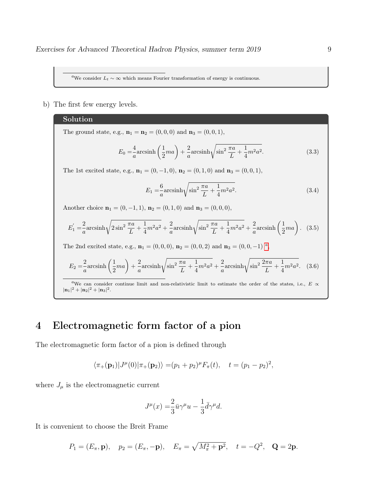<span id="page-8-0"></span><sup>a</sup>We consider  $L_t \sim \infty$  which means Fourier transformation of energy is continuous.

b) The first few energy levels.

#### Solution

The ground state, e.g.,  $\mathbf{n}_1 = \mathbf{n}_2 = (0, 0, 0)$  and  $\mathbf{n}_3 = (0, 0, 1)$ ,

$$
E_0 = \frac{4}{a} \operatorname{arcsinh}\left(\frac{1}{2}ma\right) + \frac{2}{a} \operatorname{arcsinh}\sqrt{\sin^2\frac{\pi a}{L} + \frac{1}{4}m^2a^2}.
$$
 (3.3)

The 1st excited state, e.g.,  $\mathbf{n}_1 = (0, -1, 0), \mathbf{n}_2 = (0, 1, 0)$  and  $\mathbf{n}_3 = (0, 0, 1),$ 

$$
E_1 = -\frac{6}{a} \operatorname{arcsinh} \sqrt{\sin^2 \frac{\pi a}{L} + \frac{1}{4} m^2 a^2}.
$$
 (3.4)

Another choice  $\mathbf{n}_1 = (0, -1, 1), \mathbf{n}_2 = (0, 1, 0)$  and  $\mathbf{n}_3 = (0, 0, 0),$ 

$$
E_1' = \frac{2}{a} \operatorname{arcsinh}\sqrt{2\sin^2\frac{\pi a}{L} + \frac{1}{4}m^2 a^2} + \frac{2}{a} \operatorname{arcsinh}\sqrt{\sin^2\frac{\pi a}{L} + \frac{1}{4}m^2 a^2} + \frac{2}{a} \operatorname{arcsinh}\left(\frac{1}{2}ma\right). \tag{3.5}
$$

The 2nd excited st[a](#page-8-1)te, e.g.,  $\mathbf{n}_1 = (0, 0, 0), \mathbf{n}_2 = (0, 0, 2)$  and  $\mathbf{n}_3 = (0, 0, -1)$  <sup>a</sup>,

$$
E_2 = \frac{2}{a} \operatorname{arcsinh}\left(\frac{1}{2}ma\right) + \frac{2}{a} \operatorname{arcsinh}\sqrt{\sin^2\frac{\pi a}{L} + \frac{1}{4}m^2 a^2} + \frac{2}{a} \operatorname{arcsinh}\sqrt{\sin^2\frac{2\pi a}{L} + \frac{1}{4}m^2 a^2}.
$$
 (3.6)

<span id="page-8-1"></span><sup>a</sup>We can consider continue limit and non-relativistic limit to estimate the order of the states, i.e.,  $E \propto$  $|\mathbf{n}_1|^2 + |\mathbf{n}_2|^2 + |\mathbf{n}_3|^2$ .

# 4 Electromagnetic form factor of a pion

The electromagnetic form factor of a pion is defined through

$$
\langle \pi_+(\mathbf{p}_1)|J^{\mu}(0)|\pi_+(\mathbf{p}_2)\rangle = (p_1+p_2)^{\mu}F_{\pi}(t), \quad t = (p_1-p_2)^2,
$$

where  $J_{\mu}$  is the electromagnetic current

$$
J^{\mu}(x) = \frac{2}{3}\bar{u}\gamma^{\mu}u - \frac{1}{3}\bar{d}\gamma^{\mu}d.
$$

It is convenient to choose the Breit Frame

$$
P_1 = (E_{\pi}, \mathbf{p}), \quad p_2 = (E_{\pi}, -\mathbf{p}), \quad E_{\pi} = \sqrt{M_{\pi}^2 + \mathbf{p}^2}, \quad t = -Q^2, \quad \mathbf{Q} = 2\mathbf{p}.
$$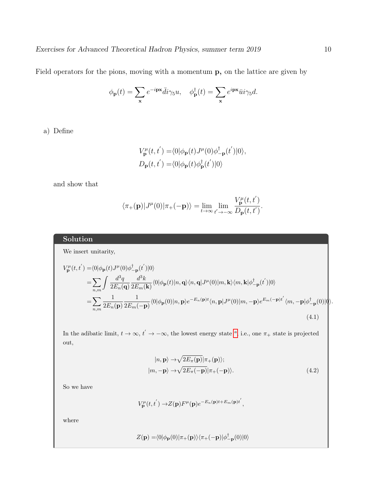Field operators for the pions, moving with a momentum p, on the lattice are given by

$$
\phi_{\mathbf{p}}(t) = \sum_{\mathbf{x}} e^{-i\mathbf{p}\mathbf{x}} \bar{d}i\gamma_5 u, \quad \phi_{\mathbf{p}}^{\dagger}(t) = \sum_{\mathbf{x}} e^{i\mathbf{p}\mathbf{x}} \bar{u}i\gamma_5 d.
$$

a) Define

$$
V_{\mathbf{p}}^{\mu}(t, t^{'}) = \langle 0 | \phi_{\mathbf{p}}(t) J^{\mu}(0) \phi_{-\mathbf{p}}^{\dagger}(t^{'}) | 0 \rangle,
$$
  

$$
D_{\mathbf{p}}(t, t^{'}) = \langle 0 | \phi_{\mathbf{p}}(t) \phi_{\mathbf{p}}^{\dagger}(t^{'}) | 0 \rangle
$$

and show that

$$
\langle \pi_+({\bf p})|J^\mu(0)|\pi_+(-{\bf p})\rangle = \lim_{t\to\infty}\lim_{t'\to-\infty}\frac{V_{\bf p}^\mu(t,t')}{D_{\bf p}(t,t')}.
$$

### Solution

We insert unitarity,

$$
V_{\mathbf{p}}^{\mu}(t,t^{'}) = \langle 0|\phi_{\mathbf{p}}(t)J^{\mu}(0)\phi_{-\mathbf{p}}^{\dagger}(t^{'})|0\rangle
$$
  
\n
$$
= \sum_{n,m} \int \frac{d^{3}q}{2E_{n}(\mathbf{q})} \frac{d^{3}k}{2E_{m}(\mathbf{k})} \langle 0|\phi_{\mathbf{p}}(t)|n, \mathbf{q}\rangle \langle n, \mathbf{q}|J^{\mu}(0)|m, \mathbf{k}\rangle \langle m, \mathbf{k}|\phi_{-\mathbf{p}}^{\dagger}(t^{'})|0\rangle
$$
  
\n
$$
= \sum_{n,m} \frac{1}{2E_{n}(\mathbf{p})} \frac{1}{2E_{m}(-\mathbf{p})} \langle 0|\phi_{\mathbf{p}}(0)|n, \mathbf{p}\rangle e^{-E_{n}(\mathbf{p})t} \langle n, \mathbf{p}|J^{\mu}(0)|m, -\mathbf{p}\rangle e^{E_{m}(-\mathbf{p})t^{'}} \langle m, -\mathbf{p}|\phi_{-\mathbf{p}}^{\dagger}(0)|0\rangle.
$$
  
\n(4.1)

In the [a](#page-10-0)dibatic limit,  $t \to \infty$ ,  $t' \to -\infty$ , the lowest energy state <sup>a</sup>, i.e., one  $\pi_+$  state is projected out,

$$
|n, \mathbf{p}\rangle \rightarrow \sqrt{2E_{\pi}(\mathbf{p})}|\pi_{+}(\mathbf{p})\rangle; |m, -\mathbf{p}\rangle \rightarrow \sqrt{2E_{\pi}(-\mathbf{p})}|\pi_{+}(-\mathbf{p})\rangle.
$$
 (4.2)

So we have

$$
V_{\mathbf{p}}^{\mu}(t, t^{'}) \rightarrow Z(\mathbf{p}) F^{\mu}(\mathbf{p}) e^{-E_{n}(\mathbf{p})t + E_{m}(\mathbf{p})t'},
$$

where

$$
Z(\mathbf{p}) = \langle 0 | \phi_{\mathbf{p}}(0) | \pi_{+}(\mathbf{p}) \rangle \langle \pi_{+}(-\mathbf{p}) | \phi_{-\mathbf{p}}^{\dagger}(0) | 0 \rangle
$$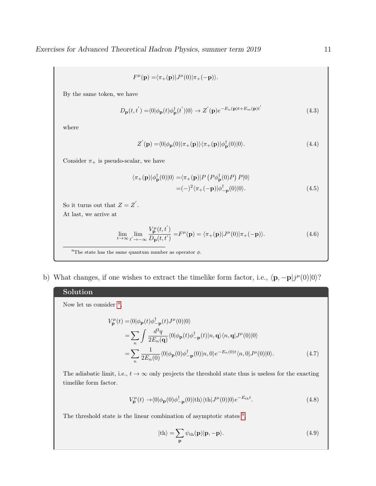$$
F^{\mu}(\mathbf{p}) = \langle \pi_+(\mathbf{p}) | J^{\mu}(0) | \pi_+(-\mathbf{p}) \rangle.
$$

By the same token, we have

$$
D_{\mathbf{p}}(t, t^{'}) = \langle 0 | \phi_{\mathbf{p}}(t) \phi_{\mathbf{p}}^{\dagger}(t^{'}) | 0 \rangle \rightarrow Z^{'}(\mathbf{p}) e^{-E_{n}(\mathbf{p})t + E_{m}(\mathbf{p})t^{'}} \qquad (4.3)
$$

where

$$
Z'(\mathbf{p}) = \langle 0|\phi_{\mathbf{p}}(0)|\pi_{+}(\mathbf{p})\rangle\langle\pi_{+}(\mathbf{p})|\phi_{\mathbf{p}}^{\dagger}(0)|0\rangle. \tag{4.4}
$$

Consider  $\pi_+$  is pseudo-scalar, we have

$$
\langle \pi_+(\mathbf{p}) | \phi_{\mathbf{p}}^\dagger(0) | 0 \rangle = \langle \pi_+(\mathbf{p}) | P \left( P \phi_{\mathbf{p}}^\dagger(0) P \right) P | 0 \rangle
$$
  
=  $(-)^2 \langle \pi_+(-\mathbf{p}) | \phi_{-\mathbf{p}}^\dagger(0) | 0 \rangle.$  (4.5)

So it turns out that  $Z = Z'$ . At last, we arrive at

$$
\lim_{t \to \infty} \lim_{t' \to -\infty} \frac{V_{\mathbf{p}}^{\mu}(t, t')}{D_{\mathbf{p}}(t, t')} = F^{\mu}(\mathbf{p}) = \langle \pi_+(\mathbf{p}) | J^{\mu}(0) | \pi_+(-\mathbf{p}) \rangle.
$$
\n(4.6)

<span id="page-10-0"></span><sup>a</sup>The state has the same quantum number as operator  $\phi$ .

b) What changes, if one wishes to extract the timelike form factor, i.e.,  $\langle \mathbf{p}, -\mathbf{p}|j^{\mu}(0)|0\rangle$ ?

## Solution

Now let us consider  $a$ ,

$$
V_{\mathbf{p}}^{\mu}(t) = \langle 0|\phi_{\mathbf{p}}(t)\phi_{-\mathbf{p}}^{\dagger}(t)J^{\mu}(0)|0\rangle
$$
  
\n
$$
= \sum_{n} \int \frac{d^{3}q}{2E_{n}(\mathbf{q})} \langle 0|\phi_{\mathbf{p}}(t)\phi_{-\mathbf{p}}^{\dagger}(t)|n, \mathbf{q}\rangle \langle n, \mathbf{q}|J^{\mu}(0)|0\rangle
$$
  
\n
$$
= \sum_{n} \frac{1}{2E_{n}(0)} \langle 0|\phi_{\mathbf{p}}(0)\phi_{-\mathbf{p}}^{\dagger}(0)|n, 0\rangle e^{-E_{n}(0)t} \langle n, 0|J^{\mu}(0)|0\rangle.
$$
 (4.7)

The adiabatic limit, i.e.,  $t \to \infty$  only projects the threshold state thus is useless for the exacting timelike form factor.

$$
V_{\mathbf{p}}^{\mu}(t) \rightarrow \langle 0|\phi_{\mathbf{p}}(0)\phi_{-\mathbf{p}}^{\dagger}(0)|\text{th}\rangle\langle\text{th}|J^{\mu}(0)|0\rangle e^{-E_{\text{th}}t}.\tag{4.8}
$$

The threshold state is the linear com[b](#page-11-1)ination of asymptotic states  $<sup>b</sup>$ ,</sup>

$$
|\text{th}\rangle = \sum_{\mathbf{p}} \psi_{\text{th}}(\mathbf{p})|\mathbf{p}, -\mathbf{p}\rangle.
$$
 (4.9)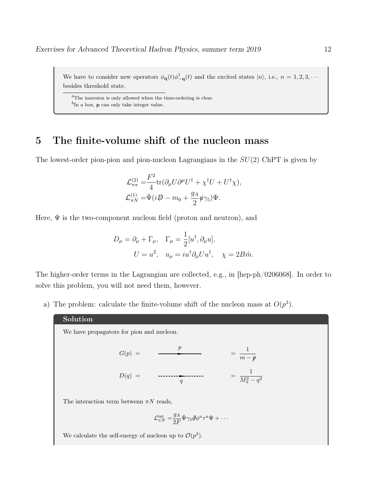We have to consider new operators  $\phi_{\bf q}(t)\phi_{\bf -q}^{\dagger}(t)$  and the excited states  $|n\rangle$ , i.e.,  $n = 1, 2, 3, \cdots$ besides threshold state.

<span id="page-11-1"></span><span id="page-11-0"></span> ${}^{a}$ The insersion is only allowed when the time-ordering is clear.  ${}^{b}$ In a box, **p** can only take integer value.

## 5 The finite-volume shift of the nucleon mass

The lowest-order pion-pion and pion-nucleon Lagrangians in the  $SU(2)$  ChPT is given by

$$
\mathcal{L}_{\pi\pi}^{(2)} = \frac{F^2}{4} \text{tr}(\partial_\mu U \partial^\mu U^\dagger + \chi^\dagger U + U^\dagger \chi),
$$
  

$$
\mathcal{L}_{\pi N}^{(1)} = \bar{\Psi}(i\rlap{\,/}D - m_0 + \frac{g_A}{2} \rlap{\,/}u \gamma_5) \Psi.
$$

Here,  $\Psi$  is the two-component nucleon field (proton and neutron), and

$$
D_{\mu} = \partial_{\mu} + \Gamma_{\mu}, \quad \Gamma_{\mu} = \frac{1}{2} [u^{\dagger}, \partial_{\mu} u],
$$

$$
U = u^{2}, \quad u_{\mu} = i u^{\dagger} \partial_{\mu} U u^{\dagger}, \quad \chi = 2B \hat{m}.
$$

The higher-order terms in the Lagrangian are collected, e.g., in [hep-ph/0206068]. In order to solve this problem, you will not need them, however.

a) The problem: calculate the finite-volume shift of the nucleon mass at  $O(p^3)$ .

#### Solution

We have propagators for pion and nucleon.

$$
G(p) = \frac{p}{m - p}
$$

$$
D(q) = \frac{1}{q} \qquad \qquad \frac{1}{M_{\pi}^2 - q^2}
$$

The interaction term betwenn  $\pi N$  reads,

$$
\mathcal{L}_{\pi N}^{\text{int}} = \frac{g_A}{2F} \bar{\Psi} \gamma_5 \partial \phi^a \tau^a \Psi + \cdots
$$

We calculate the self-energy of nucleon up to  $\mathcal{O}(p^3)$ .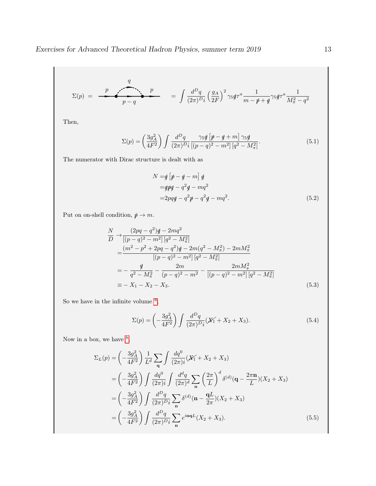$$
\Sigma(p) = \frac{p}{p-q} \qquad \qquad = \int \frac{d^D q}{(2\pi)^D i} \left(\frac{g_A}{2F}\right)^2 \gamma_5 q^{\pi a} \frac{1}{m-p+q} \gamma_5 q^{\pi a} \frac{1}{M_{\pi}^2 - q^2}
$$

Then,

$$
\Sigma(p) = \left(\frac{3g_A^2}{4F^2}\right) \int \frac{d^Dq}{(2\pi)^D i} \frac{\gamma_5 \oint \left[\rlap{\,/}p - \rlap{\,/}q + m\right] \gamma_5 \rlap{\,/}q}{\left[(p - q)^2 - m^2\right] \left[q^2 - M_\pi^2\right]}.
$$
\n(5.1)

The numerator with Dirac structure is dealt with as

$$
N = q \left[ \not{p} - \not{q} - m \right] q
$$
  
=  $q \not{p} q - q^2 q - m q^2$   
=  $2pqq - q^2 \not{p} - q^2 q - m q^2$ . (5.2)

Put on on-shell condition,  $p\!\!\!/ \rightarrow m.$ 

$$
\frac{N}{D} \rightarrow \frac{(2pq - q^2)q - 2mq^2}{[(p - q)^2 - m^2][q^2 - M_\pi^2]} \n= \frac{(m^2 - p^2 + 2pq - q^2)q - 2m(q^2 - M_\pi^2) - 2mM_\pi^2}{[(p - q)^2 - m^2][q^2 - M_\pi^2]} \n= -\frac{q}{q^2 - M_\pi^2} - \frac{2m}{(p - q)^2 - m^2} - \frac{2mM_\pi^2}{[(p - q)^2 - m^2][q^2 - M_\pi^2]} \n= -X_1 - X_2 - X_3.
$$
\n(5.3)

So we h[a](#page-14-0)ve in the infinite volume  $a$ ,

$$
\Sigma(p) = \left(-\frac{3g_A^2}{4F^2}\right) \int \frac{d^Dq}{(2\pi)^{D_i}} (X_1 + X_2 + X_3).
$$
\n(5.4)

Now in a [b](#page-14-1)ox, we have  $\frac{b}{b}$ ,

$$
\Sigma_{L}(p) = \left(-\frac{3g_{A}^{2}}{4F^{2}}\right) \frac{1}{L^{d}} \sum_{\mathbf{q}} \int \frac{dq^{0}}{(2\pi)i} (X_{1} + X_{2} + X_{3})
$$
\n
$$
= \left(-\frac{3g_{A}^{2}}{4F^{2}}\right) \int \frac{dq^{0}}{(2\pi)i} \int \frac{d^{d}q}{(2\pi)^{d}} \sum_{\mathbf{n}} \left(\frac{2\pi}{L}\right)^{d} \delta^{(d)}(\mathbf{q} - \frac{2\pi \mathbf{n}}{L})(X_{2} + X_{3})
$$
\n
$$
= \left(-\frac{3g_{A}^{2}}{4F^{2}}\right) \int \frac{d^{D}q}{(2\pi)^{D}i} \sum_{\mathbf{n}} \delta^{(d)}(\mathbf{n} - \frac{\mathbf{q}L}{2\pi})(X_{2} + X_{3})
$$
\n
$$
= \left(-\frac{3g_{A}^{2}}{4F^{2}}\right) \int \frac{d^{D}q}{(2\pi)^{D}i} \sum_{\mathbf{n}} e^{i\mathbf{n}\mathbf{q}L}(X_{2} + X_{3}). \tag{5.5}
$$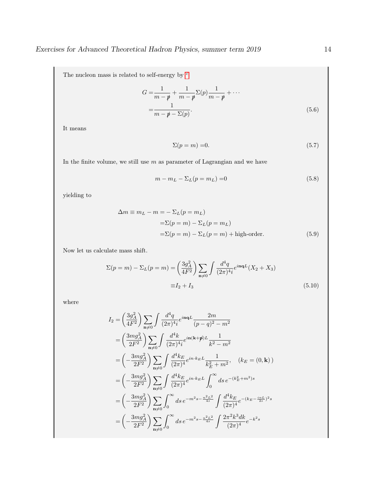The nu[c](#page-14-2)leon mass is related to self-energy by  $\emph{c}$ 

$$
G = \frac{1}{m - p} + \frac{1}{m - p} \Sigma(p) \frac{1}{m - p} + \cdots
$$
  
= 
$$
\frac{1}{m - p - \Sigma(p)}.
$$
 (5.6)

It means

$$
\Sigma(p=m) = 0.\tag{5.7}
$$

In the finite volume, we still use  $m$  as parameter of Lagrangian and we have

$$
m - m_L - \Sigma_L(p = m_L) = 0 \tag{5.8}
$$

yielding to

$$
\Delta m \equiv m_L - m = -\Sigma_L (p = m_L)
$$
  
=\Sigma (p = m) - \Sigma\_L (p = m\_L)  
=\Sigma (p = m) - \Sigma\_L (p = m) + high-order. (5.9)

Now let us calculate mass shift.

$$
\Sigma(p=m) - \Sigma_L(p=m) = \left(\frac{3g_A^2}{4F^2}\right) \sum_{\mathbf{n}\neq 0} \int \frac{d^4q}{(2\pi)^4 i} e^{i\mathbf{n}\mathbf{q}L} (X_2 + X_3)
$$
  

$$
\equiv I_2 + I_3
$$
 (5.10)

where

$$
I_2 = \left(\frac{3g_A^2}{4F^2}\right) \sum_{\mathbf{n}\neq 0} \int \frac{d^4q}{(2\pi)^4i} e^{i\mathbf{n}\mathbf{q}L} \frac{2m}{(p-q)^2 - m^2}
$$
  
\n
$$
= \left(\frac{3mg_A^2}{2F^2}\right) \sum_{\mathbf{n}\neq 0} \int \frac{d^4k}{(2\pi)^4i} e^{i\mathbf{n}(\mathbf{k}+\mathbf{p})L} \frac{1}{k^2 - m^2}
$$
  
\n
$$
= \left(-\frac{3mg_A^2}{2F^2}\right) \sum_{\mathbf{n}\neq 0} \int \frac{d^4k_E}{(2\pi)^4} e^{i\mathbf{n}\cdot k_E L} \frac{1}{k_E^2 + m^2}, \quad (k_E = (0, \mathbf{k}))
$$
  
\n
$$
= \left(-\frac{3mg_A^2}{2F^2}\right) \sum_{\mathbf{n}\neq 0} \int \frac{d^4k_E}{(2\pi)^4} e^{i\mathbf{n}\cdot k_E L} \int_0^\infty ds \, e^{-(k_E^2 + m^2)s}
$$
  
\n
$$
= \left(-\frac{3mg_A^2}{2F^2}\right) \sum_{\mathbf{n}\neq 0} \int_0^\infty ds \, e^{-m^2s - \frac{n^2L^2}{4s}} \int \frac{d^4k_E}{(2\pi)^4} e^{-(k_E - \frac{i\mathbf{n}L}{2s})^2s}
$$
  
\n
$$
= \left(-\frac{3mg_A^2}{2F^2}\right) \sum_{\mathbf{n}\neq 0} \int_0^\infty ds \, e^{-m^2s - \frac{n^2L^2}{4s}} \int \frac{2\pi^2k^3 dk}{(2\pi)^4} e^{-k^2s}
$$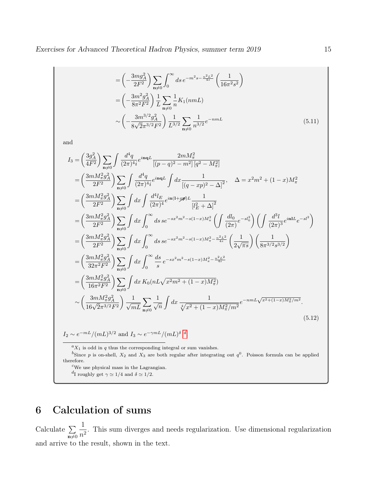$$
= \left(-\frac{3mg_A^2}{2F^2}\right) \sum_{\mathbf{n}\neq 0} \int_0^\infty ds \, e^{-m^2 s - \frac{n^2 L^2}{4s}} \left(\frac{1}{16\pi^2 s^2}\right)
$$
  

$$
= \left(-\frac{3m^2 g_A^2}{8\pi^2 F^2}\right) \frac{1}{L} \sum_{\mathbf{n}\neq 0} \frac{1}{n} K_1(nmL)
$$
  

$$
\sim \left(-\frac{3m^{3/2} g_A^2}{8\sqrt{2}\pi^{3/2} F^2}\right) \frac{1}{L^{3/2}} \sum_{\mathbf{n}\neq 0} \frac{1}{n^{3/2}} e^{-nmL}
$$
(5.11)

and

$$
I_{3} = \left(\frac{3g_{A}^{2}}{4F^{2}}\right) \sum_{\mathbf{n}\neq 0} \int \frac{d^{4}q}{(2\pi)^{4}i} e^{i\mathbf{n}\mathbf{q}L} \frac{2mM_{\pi}^{2}}{[(p-q)^{2} - m^{2}][q^{2} - M_{\pi}^{2}]}
$$
\n
$$
= \left(\frac{3mM_{\pi}^{2}g_{A}^{2}}{2F^{2}}\right) \sum_{\mathbf{n}\neq 0} \int \frac{d^{4}q}{(2\pi)^{4}i} e^{i\mathbf{n}\mathbf{q}L} \int dx \frac{1}{[(q-xp)^{2} - \Delta]^{2}}, \quad \Delta = x^{2}m^{2} + (1-x)M_{\pi}^{2}
$$
\n
$$
= \left(\frac{3mM_{\pi}^{2}g_{A}^{2}}{2F^{2}}\right) \sum_{\mathbf{n}\neq 0} \int dx \int \frac{d^{4}l_{E}}{(2\pi)^{4}} e^{i\mathbf{n}(1+\mathcal{Y}\mathbf{p})L} \frac{1}{[l_{E}^{2} + \Delta]^{2}}
$$
\n
$$
= \left(\frac{3mM_{\pi}^{2}g_{A}^{2}}{2F^{2}}\right) \sum_{\mathbf{n}\neq 0} \int dx \int_{0}^{\infty} ds \, s e^{-sx^{2}m^{2} - s(1-x)M_{\pi}^{2}} \left(\int \frac{dl_{0}}{(2\pi)^{6}} e^{-sl_{0}^{2}}\right) \left(\int \frac{d^{3}l}{(2\pi)^{3}} e^{i\mathbf{n}L} e^{-sl^{2}}\right)
$$
\n
$$
= \left(\frac{3mM_{\pi}^{2}g_{A}^{2}}{2F^{2}}\right) \sum_{\mathbf{n}\neq 0} \int dx \int_{0}^{\infty} ds \, s e^{-sx^{2}m^{2} - s(1-x)M_{\pi}^{2} - \frac{n^{2}L^{2}}{4s}} \left(\frac{1}{2\sqrt{\pi s}}\right) \left(\frac{1}{8\pi^{3/2}s^{3/2}}\right)
$$
\n
$$
= \left(\frac{3mM_{\pi}^{2}g_{A}^{2}}{32\pi^{2}F^{2}}\right) \sum_{\mathbf{n}\neq 0} \int dx \int_{0
$$

<span id="page-14-1"></span><span id="page-14-0"></span> ${}^aX_1$  is odd in q thus the corresponding integral or sum vanishes.

<sup>b</sup>Since p is on-shell,  $X_2$  and  $X_3$  are both regular after integrating out  $q^0$ . Poisson formula can be applied therefore.

<span id="page-14-2"></span> $c$ We use physical mass in the Lagrangian.

<span id="page-14-3"></span><sup>d</sup>I roughly get  $\gamma \simeq 1/4$  and  $\delta \simeq 1/2$ .

# 6 Calculation of sums

Calculate  $\Sigma$  $n \neq 0$ 1  $\frac{1}{n^2}$ . This sum diverges and needs regularization. Use dimensional regularization and arrive to the result, shown in the text.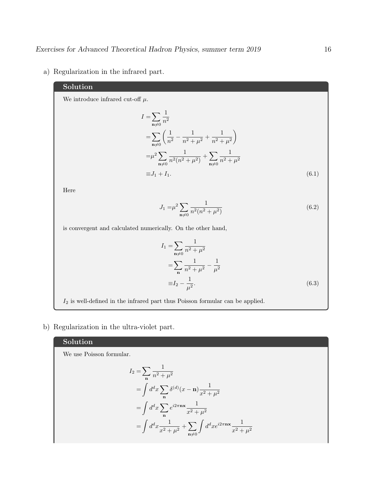a) Regularization in the infrared part.

## Solution

We introduce infrared cut-off  $\mu$ .

 $I=\sum$  $n\neq0$ 1  $n<sup>2</sup>$  $=\sum \left( \frac{1}{2} \right)$  $n \neq 0$  $\frac{1}{n^2} - \frac{1}{n^2 +}$  $\frac{1}{n^2 + \mu^2} + \frac{1}{n^2 + \mu^2}$  $n^2 + \mu^2$  $\setminus$  $=\mu^2\sum$  $n \neq 0$ 1  $\frac{1}{n^2(n^2+\mu^2)}+\sum$  $n\neq0$ 1  $n^2 + \mu^2$  $\equiv J_1 + I_1.$  (6.1)

Here

$$
J_1 = \mu^2 \sum_{\mathbf{n} \neq 0} \frac{1}{n^2 (n^2 + \mu^2)}\tag{6.2}
$$

is convergent and calculated numerically. On the other hand,

$$
I_1 = \sum_{\mathbf{n}\neq 0} \frac{1}{n^2 + \mu^2}
$$
  
= 
$$
\sum_{\mathbf{n}} \frac{1}{n^2 + \mu^2} - \frac{1}{\mu^2}
$$
  
= 
$$
I_2 - \frac{1}{\mu^2}.
$$
 (6.3)

 $\mathcal{I}_2$  is well-defined in the infrared part thus Poisson formular can be applied.

b) Regularization in the ultra-violet part.

## Solution

We use Poisson formular.

$$
I_2 = \sum_{\mathbf{n}} \frac{1}{n^2 + \mu^2}
$$
  
=  $\int d^d x \sum_{\mathbf{n}} \delta^{(d)} (x - \mathbf{n}) \frac{1}{x^2 + \mu^2}$   
=  $\int d^d x \sum_{\mathbf{n}} e^{i2\pi \mathbf{n} \mathbf{x}} \frac{1}{x^2 + \mu^2}$   
=  $\int d^d x \frac{1}{x^2 + \mu^2} + \sum_{\mathbf{n} \neq 0} \int d^d x e^{i2\pi \mathbf{n} \mathbf{x}} \frac{1}{x^2 + \mu^2}$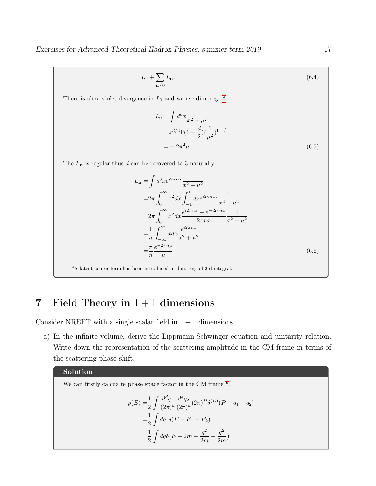Exercises for Advanced Theoretical Hadron Physics, summer term 2019 17

$$
=L_0+\sum_{\mathbf{n}\neq 0}L_{\mathbf{n}}.\tag{6.4}
$$

There is ultr[a](#page-16-0)-violet divergence in  $L_0$  and we use dim.-reg.  $a$ .

$$
L_0 = \int d^d x \frac{1}{x^2 + \mu^2}
$$
  
=  $\pi^{d/2} \Gamma (1 - \frac{d}{2}) (\frac{1}{\mu^2})^{1 - \frac{d}{2}}$   
=  $- 2\pi^2 \mu$ . (6.5)

The  $L_{\mathbf n}$  is regular thus  $d$  can be recovered to 3 naturally.

$$
L_{\mathbf{n}} = \int d^{3}x e^{i2\pi \mathbf{n} \mathbf{x}} \frac{1}{x^{2} + \mu^{2}}
$$
  
\n
$$
= 2\pi \int_{0}^{\infty} x^{2} dx \int_{-1}^{1} dz e^{i2\pi nxz} \frac{1}{x^{2} + \mu^{2}}
$$
  
\n
$$
= 2\pi \int_{0}^{\infty} x^{2} dx \frac{e^{i2\pi nx} - e^{-i2\pi nx}}{2\pi nx} \frac{1}{x^{2} + \mu^{2}}
$$
  
\n
$$
= \frac{1}{n} \int_{-\infty}^{\infty} x dx \frac{e^{i2\pi nx}}{x^{2} + \mu^{2}}
$$
  
\n
$$
= \frac{\pi}{n} \frac{e^{-2\pi n\mu}}{\mu}.
$$
  
\n(6.6)

<span id="page-16-0"></span> ${}^a$ A latent couter-term has been introduced in dim.-reg. of 3-d integral.

# 7 Field Theory in  $1 + 1$  dimensions

Consider NREFT with a single scalar field in  $1 + 1$  dimensions.

a) In the infinite volume, derive the Lippmann-Schwinger equation and unitarity relation. Write down the representation of the scattering amplitude in the CM frame in terms of the scattering phase shift.

## Solution

We c[a](#page-18-0)n firstly calcualte phase space factor in the CM frame  $a$ .

$$
\rho(E) = \frac{1}{2} \int \frac{d^d q_1}{(2\pi)^d} \frac{d^d q_2}{(2\pi)^d} (2\pi)^D \delta^{(D)}(P - q_1 - q_2)
$$
  
= 
$$
\frac{1}{2} \int dq_1 \delta(E - E_1 - E_2)
$$
  
= 
$$
\frac{1}{2} \int dq \delta(E - 2m - \frac{q^2}{2m} - \frac{q^2}{2m})
$$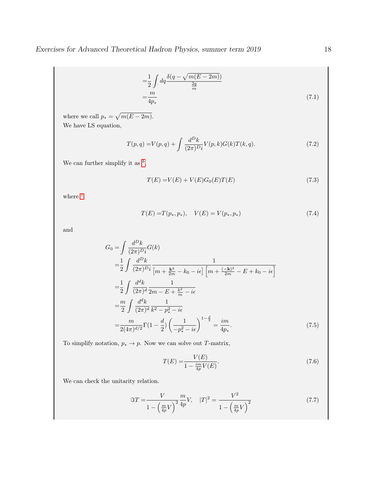$$
=\frac{1}{2} \int dq \frac{\delta(q - \sqrt{m(E - 2m)})}{\frac{2q}{m}}
$$

$$
=\frac{m}{4p_*}
$$
\n(7.1)

where we call  $p_* = \sqrt{m(E - 2m)}$ . We have LS equation,

$$
T(p,q) = V(p,q) + \int \frac{d^D k}{(2\pi)^D i} V(p,k) G(k) T(k,q).
$$
 (7.2)

We can further simplify it as  $\frac{b}{b}$  $\frac{b}{b}$  $\frac{b}{b}$ ,

$$
T(E) = V(E) + V(E)G_0(E)T(E)
$$
\n(7.3)

where  $c$ 

$$
T(E) = T(p_*, p_*), \quad V(E) = V(p_*, p_*)
$$
\n(7.4)

and

$$
G_0 = \int \frac{d^D k}{(2\pi)^D i} G(k)
$$
  
\n
$$
= \frac{1}{2} \int \frac{d^D k}{(2\pi)^D i} \frac{1}{[m + \frac{k^2}{2m} - k_0 - i\epsilon] \left[m + \frac{(-k)^2}{2m} - E + k_0 - i\epsilon\right]}
$$
  
\n
$$
= \frac{1}{2} \int \frac{d^d k}{(2\pi)^d} \frac{1}{2m - E + \frac{k^2}{m} - i\epsilon}
$$
  
\n
$$
= \frac{m}{2} \int \frac{d^d k}{(2\pi)^d} \frac{1}{k^2 - p_{\ast}^2 - i\epsilon}
$$
  
\n
$$
= \frac{m}{2(4\pi)^{d/2}} \Gamma(1 - \frac{d}{2}) \left(\frac{1}{-p_{\ast}^2 - i\epsilon}\right)^{1 - \frac{d}{2}} = \frac{im}{4p_{\ast}}.
$$
 (7.5)

To simplify notation,  $p_* \to p.$  Now we can solve out  $T\text{-matrix},$ 

$$
T(E) = \frac{V(E)}{1 - \frac{im}{4p}V(E)}.
$$
\n(7.6)

We can check the unitarity relation.

$$
\Im T = \frac{V}{1 - \left(\frac{m}{4p}V\right)^2} \frac{m}{4p} V, \quad |T|^2 = \frac{V^2}{1 - \left(\frac{m}{4p}V\right)^2} \tag{7.7}
$$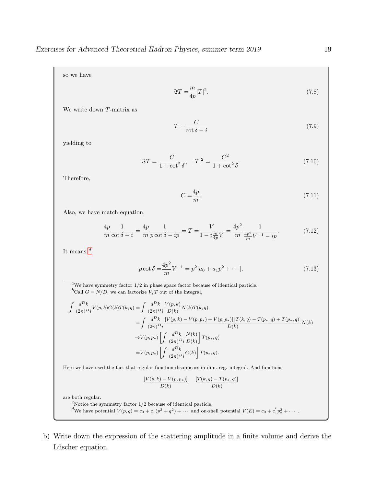so we have

$$
\Im T = \frac{m}{4p}|T|^2. \tag{7.8}
$$

We write down T-matrix as

$$
T = \frac{C}{\cot \delta - i} \tag{7.9}
$$

yielding to

$$
\Im T = \frac{C}{1 + \cot^2 \delta}, \quad |T|^2 = \frac{C^2}{1 + \cot^2 \delta}.
$$
\n(7.10)

Therefore,

$$
C = \frac{4p}{m}.\tag{7.11}
$$

Also, we have match equation,

$$
\frac{4p}{m}\frac{1}{\cot\delta - i} = \frac{4p}{m}\frac{1}{p\cot\delta - ip} = T = \frac{V}{1 - i\frac{m}{4p}V} = \frac{4p^2}{m}\frac{1}{\frac{4p^2}{m}V^{-1} - ip}.
$$
(7.12)

It means  $d$ 

$$
p \cot \delta = \frac{4p^2}{m} V^{-1} = p^2 [a_0 + a_1 p^2 + \dots].
$$
 (7.13)

<span id="page-18-1"></span><span id="page-18-0"></span> ${}^a\mathrm{We}$  have symmetry factor  $1/2$  in phase space factor because of identical particle.  ${}^b\mathbf{Call}$   $G=N/D,$  we can factorize  $V,T$  out of the integral,

$$
\int \frac{d^D k}{(2\pi)^{D_i}} V(p,k)G(k)T(k,q) = \int \frac{d^D k}{(2\pi)^{D_i}} \frac{V(p,k)}{D(k)} N(k)T(k,q)
$$
  
\n
$$
= \int \frac{d^D k}{(2\pi)^{D_i}} \frac{[V(p,k) - V(p,p_*) + V(p,p_*)] [T(k,q) - T(p_*,q) + T(p_*,q)]}{D(k)} N(k)
$$
  
\n
$$
\to V(p,p_*) \left[ \int \frac{d^D k}{(2\pi)^{D_i}} \frac{N(k)}{D(k)} \right] T(p_*,q)
$$
  
\n
$$
= V(p,p_*) \left[ \int \frac{d^D k}{(2\pi)^{D_i}} G(k) \right] T(p_*,q).
$$

Here we have used the fact that regular function disappears in dim.-reg. integral. And functions

$$
\frac{[V(p,k) - V(p,p_*)]}{D(k)}, \frac{[T(k,q) - T(p_*,q)]}{D(k)}
$$

are both regular.

<span id="page-18-3"></span><span id="page-18-2"></span> $^c\!$  Notice the symmetry factor  $1/2$  because of identical particle. We have potential  $V(p,q) = c_0 + c_1(p^2 + q^2) + \cdots$  and on-shell potential  $V(E) = c_0 + c_1'p_*^2 + \cdots$ .

b) Write down the expression of the scattering amplitude in a finite volume and derive the Lüscher equation.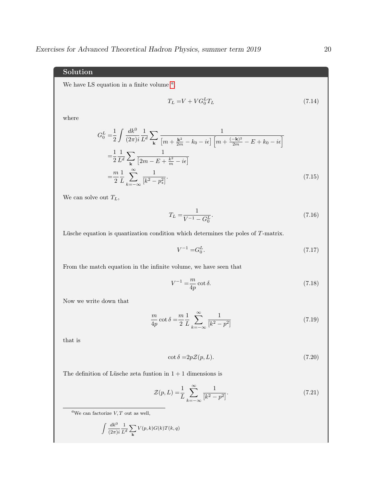## Solution

We h[a](#page-19-0)ve LS equation in a finite volume  $a$ ,

$$
T_L = V + V G_0^L T_L \tag{7.14}
$$

where

$$
G_0^L = \frac{1}{2} \int \frac{dk^0}{(2\pi)i} \frac{1}{L^d} \sum_{\mathbf{k}} \frac{1}{\left[m + \frac{\mathbf{k}^2}{2m} - k_0 - i\epsilon\right] \left[m + \frac{(-\mathbf{k})^2}{2m} - E + k_0 - i\epsilon\right]}
$$
  

$$
= \frac{1}{2} \frac{1}{L^d} \sum_{\mathbf{k}} \frac{1}{\left[2m - E + \frac{k^2}{m} - i\epsilon\right]}
$$
  

$$
= \frac{m}{2} \frac{1}{L} \sum_{k=-\infty}^{\infty} \frac{1}{\left[k^2 - p_{\ast}^2\right]}.
$$
 (7.15)

We can solve out  $T_L$ ,

$$
T_L = \frac{1}{V^{-1} - G_0^L}.\tag{7.16}
$$

Lüsche equation is quantization condition which determines the poles of T-matrix.

$$
V^{-1} = G_0^L. \tag{7.17}
$$

From the match equation in the infinite volume, we have seen that

$$
V^{-1} = \frac{m}{4p} \cot \delta. \tag{7.18}
$$

Now we write down that

$$
\frac{m}{4p}\cot\delta = \frac{m}{2}\frac{1}{L}\sum_{k=-\infty}^{\infty} \frac{1}{[k^2 - p^2]}
$$
\n(7.19)

that is

$$
\cot \delta = 2p\mathcal{Z}(p, L). \tag{7.20}
$$

The definition of Lüsche zeta funtion in  $1 + 1$  dimensions is

$$
\mathcal{Z}(p, L) = \frac{1}{L} \sum_{k=-\infty}^{\infty} \frac{1}{[k^2 - p^2]}.
$$
\n(7.21)

$$
\int \frac{dk^0}{(2\pi)i} \frac{1}{L^d} \sum_{\mathbf{k}} V(p,k) G(k) T(k,q)
$$

<span id="page-19-0"></span><sup>&</sup>lt;sup>a</sup>We can factorize  $V, T$  out as well,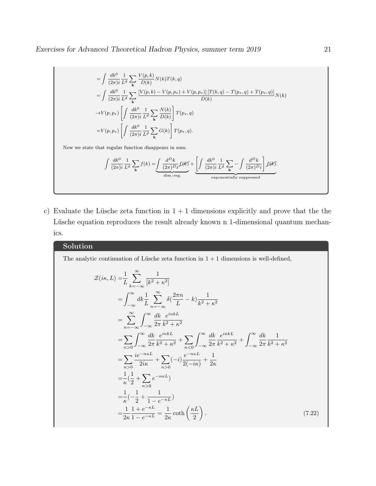$$
= \int \frac{dk^0}{(2\pi)^i} \frac{1}{L^d} \sum_{\mathbf{k}} \frac{V(p,k)}{D(k)} N(k)T(k,q)
$$
  
\n
$$
= \int \frac{dk^0}{(2\pi)^i} \frac{1}{L^d} \sum_{\mathbf{k}} \frac{[V(p,k) - V(p,p_*) + V(p,p_*)] [T(k,q) - T(p_*,q) + T(p_*,q)]}{D(k)}
$$
  
\n
$$
\rightarrow V(p,p_*) \left[ \int \frac{dk^0}{(2\pi)^i} \frac{1}{L^d} \sum_{\mathbf{k}} \frac{N(k)}{D(k)} \right] T(p_*,q)
$$
  
\n
$$
= V(p,p_*) \left[ \int \frac{dk^0}{(2\pi)^i} \frac{1}{L^d} \sum_{\mathbf{k}} G(k) \right] T(p_*,q).
$$
  
\nNow we state that regular function disappears in sum.

$$
\int \frac{dk^0}{(2\pi)i} \frac{1}{L^d} \sum_{\mathbf{k}} f(k) = \underbrace{\int \frac{d^D k}{(2\pi)^D i} f(k) + \underbrace{\left[ \int \frac{dk^0}{(2\pi)i} \frac{1}{L^d} \sum_{\mathbf{k}} - \int \frac{d^D k}{(2\pi)^D i} \right] f(k)}_{\text{exponentially suppressed}}
$$

c) Evaluate the Lüsche zeta function in  $1 + 1$  dimensions explicitly and prove that the the Lüsche equation reproduces the result already known n 1-dimensional quantum mechanics.

## Solution

The analytic continuation of Lüsche zeta function in  $1 + 1$  dimensions is well-defined,

$$
\mathcal{Z}(i\kappa, L) = \frac{1}{L} \sum_{k=-\infty}^{\infty} \frac{1}{[k^2 + \kappa^2]}
$$
  
\n
$$
= \int_{-\infty}^{\infty} dk \frac{1}{L} \sum_{n=-\infty}^{\infty} \delta(\frac{2\pi n}{L} - k) \frac{1}{k^2 + \kappa^2}
$$
  
\n
$$
= \sum_{n=-\infty}^{\infty} \int_{-\infty}^{\infty} \frac{dk}{2\pi} \frac{e^{inkL}}{k^2 + \kappa^2}
$$
  
\n
$$
= \sum_{n>0} \int_{-\infty}^{\infty} \frac{dk}{2\pi} \frac{e^{inkL}}{k^2 + \kappa^2} + \sum_{n<0} \int_{-\infty}^{\infty} \frac{dk}{2\pi} \frac{e^{inkL}}{k^2 + \kappa^2} + \int_{-\infty}^{\infty} \frac{dk}{2\pi} \frac{1}{k^2 + \kappa^2}
$$
  
\n
$$
= \sum_{n>0} \frac{ie^{-n\kappa L}}{2i\kappa} + \sum_{n>0} (-i) \frac{e^{-n\kappa L}}{2(-i\kappa)} + \frac{1}{2\kappa}
$$
  
\n
$$
= \frac{1}{\kappa} (\frac{1}{2} + \sum_{n>0} e^{-n\kappa L})
$$
  
\n
$$
= \frac{1}{\kappa} (-\frac{1}{2} + \frac{1}{1 - e^{-\kappa L}})
$$
  
\n
$$
= \frac{1}{2\kappa} \frac{1 + e^{-\kappa L}}{1 - e^{-\kappa L}} = \frac{1}{2\kappa} \coth\left(\frac{\kappa L}{2}\right).
$$
 (7.22)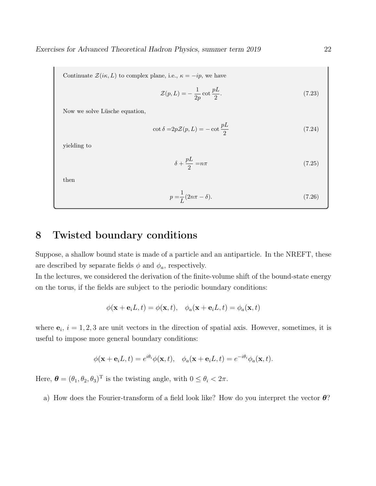Continuate  $\mathcal{Z}(i\kappa, L)$  to complex plane, i.e.,  $\kappa = -ip$ , we have

$$
\mathcal{Z}(p, L) = -\frac{1}{2p} \cot \frac{pL}{2}.
$$
\n(7.23)

Now we solve Lüsche equation,

$$
\cot \delta = 2p\mathcal{Z}(p, L) = -\cot \frac{pL}{2}
$$
\n(7.24)

yielding to

$$
\delta + \frac{pL}{2} = n\pi \tag{7.25}
$$

then

$$
p = \frac{1}{L}(2n\pi - \delta). \tag{7.26}
$$

## 8 Twisted boundary conditions

Suppose, a shallow bound state is made of a particle and an antiparticle. In the NREFT, these are described by separate fields  $\phi$  and  $\phi_a$ , respectively.

In the lectures, we considered the derivation of the finite-volume shift of the bound-state energy on the torus, if the fields are subject to the periodic boundary conditions:

$$
\phi(\mathbf{x} + \mathbf{e}_i L, t) = \phi(\mathbf{x}, t), \quad \phi_a(\mathbf{x} + \mathbf{e}_i L, t) = \phi_a(\mathbf{x}, t)
$$

where  $e_i$ ,  $i = 1, 2, 3$  are unit vectors in the direction of spatial axis. However, sometimes, it is useful to impose more general boundary conditions:

$$
\phi(\mathbf{x} + \mathbf{e}_i L, t) = e^{i\theta_i} \phi(\mathbf{x}, t), \quad \phi_a(\mathbf{x} + \mathbf{e}_i L, t) = e^{-i\theta_i} \phi_a(\mathbf{x}, t).
$$

Here,  $\boldsymbol{\theta} = (\theta_1, \theta_2, \theta_3)^T$  is the twisting angle, with  $0 \le \theta_i < 2\pi$ .

a) How does the Fourier-transform of a field look like? How do you interpret the vector  $\theta$ ?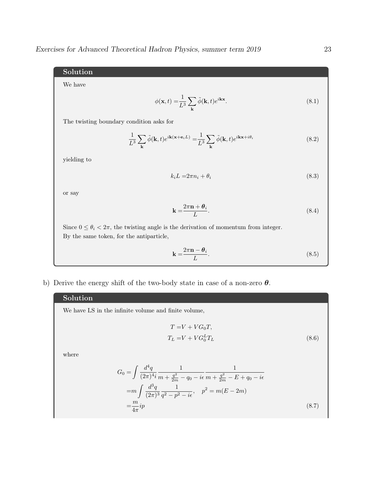## Solution

We have

$$
\phi(\mathbf{x},t) = \frac{1}{L^3} \sum_{\mathbf{k}} \tilde{\phi}(\mathbf{k},t) e^{i\mathbf{k}\mathbf{x}}.
$$
\n(8.1)

The twisting boundary condition asks for

$$
\frac{1}{L^3} \sum_{\mathbf{k}} \tilde{\phi}(\mathbf{k}, t) e^{i\mathbf{k}(\mathbf{x} + \mathbf{e}_i L)} = \frac{1}{L^3} \sum_{\mathbf{k}} \tilde{\phi}(\mathbf{k}, t) e^{i\mathbf{k}\mathbf{x} + i\theta_i}
$$
(8.2)

yielding to

$$
k_i L = 2\pi n_i + \theta_i \tag{8.3}
$$

or say

$$
\mathbf{k} = \frac{2\pi \mathbf{n} + \theta_i}{L}.
$$
\n(8.4)

Since  $0 \le \theta_i < 2\pi$ , the twisting angle is the derivation of momentum from integer. By the same token, for the antiparticle,

$$
\mathbf{k} = \frac{2\pi \mathbf{n} - \theta_i}{L}.
$$
\n(8.5)

b) Derive the energy shift of the two-body state in case of a non-zero  $\theta$ .

### Solution

We have LS in the infinite volume and finite volume,

$$
T = V + VG_0T,
$$
  
\n
$$
T_L = V + VG_0^T T_L
$$
\n(8.6)

where

$$
G_0 = \int \frac{d^4q}{(2\pi)^4 i} \frac{1}{m + \frac{q^2}{2m} - q_0 - i\epsilon} \frac{1}{m + \frac{q^2}{2m} - E + q_0 - i\epsilon}
$$
  
= 
$$
m \int \frac{d^3q}{(2\pi)^3} \frac{1}{q^2 - p^2 - i\epsilon}, \quad p^2 = m(E - 2m)
$$
  
= 
$$
\frac{m}{4\pi} i p
$$
 (8.7)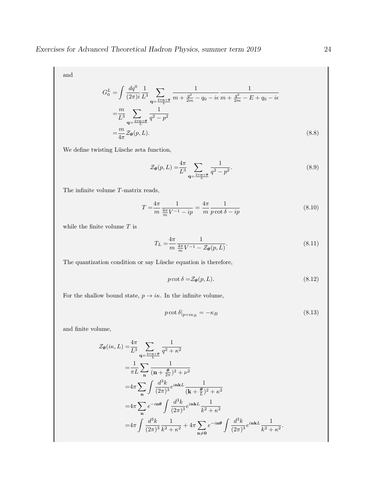and

$$
G_0^L = \int \frac{dq^0}{(2\pi)i} \frac{1}{L^3} \sum_{\mathbf{q} = \frac{2\pi \mathbf{n} + \theta}{L}} \frac{1}{m + \frac{q^2}{2m} - q_0 - i\epsilon} \frac{1}{m + \frac{q^2}{2m} - E + q_0 - i\epsilon}
$$
  
=  $\frac{m}{L^3} \sum_{\mathbf{q} = \frac{2\pi \mathbf{n} + \theta}{L}} \frac{1}{q^2 - p^2}$   
=  $\frac{m}{4\pi} \mathcal{Z}_{\theta}(p, L).$  (8.8)

We define twisting Lüsche zeta function,

$$
\mathcal{Z}_{\theta}(p, L) = \frac{4\pi}{L^3} \sum_{\mathbf{q} = \frac{2\pi \mathbf{n} + \theta}{L}} \frac{1}{q^2 - p^2}.
$$
 (8.9)

The infinite volume T-matrix reads,

$$
T = \frac{4\pi}{m} \frac{1}{\frac{4\pi}{m} V^{-1} - ip} = \frac{4\pi}{m} \frac{1}{p \cot \delta - ip}
$$
 (8.10)

while the finite volume  $T$  is

$$
T_L = \frac{4\pi}{m} \frac{1}{\frac{4\pi}{m} V^{-1} - \mathcal{Z}_{\theta}(p, L)}.
$$
\n(8.11)

The quantization condition or say Lüsche equation is therefore,

$$
p \cot \delta = \mathcal{Z}_{\theta}(p, L). \tag{8.12}
$$

For the shallow bound state,  $p \to i\kappa$ . In the infinite volume,

$$
p \cot \delta \big|_{p=i\kappa_B} = -\kappa_B \tag{8.13}
$$

and finite volume,

$$
\mathcal{Z}_{\theta}(i\kappa, L) = \frac{4\pi}{L^3} \sum_{\mathbf{q} = \frac{2\pi \mathbf{n} + \theta}{L}} \frac{1}{q^2 + \kappa^2}
$$
  
\n
$$
= \frac{1}{\pi L} \sum_{\mathbf{n}} \frac{1}{(\mathbf{n} + \frac{\theta}{2\pi})^2 + \nu^2}
$$
  
\n
$$
= 4\pi \sum_{\mathbf{n}} \int \frac{d^3k}{(2\pi)^3} e^{i\mathbf{n}kL} \frac{1}{(\mathbf{k} + \frac{\theta}{L})^2 + \kappa^2}
$$
  
\n
$$
= 4\pi \sum_{\mathbf{n}} e^{-i\mathbf{n}\theta} \int \frac{d^3k}{(2\pi)^3} e^{i\mathbf{n}kL} \frac{1}{k^2 + \kappa^2}
$$
  
\n
$$
= 4\pi \int \frac{d^3k}{(2\pi)^3} \frac{1}{k^2 + \kappa^2} + 4\pi \sum_{\mathbf{n} \neq \mathbf{0}} e^{-i\mathbf{n}\theta} \int \frac{d^3k}{(2\pi)^3} e^{i\mathbf{n}kL} \frac{1}{k^2 + \kappa^2}.
$$